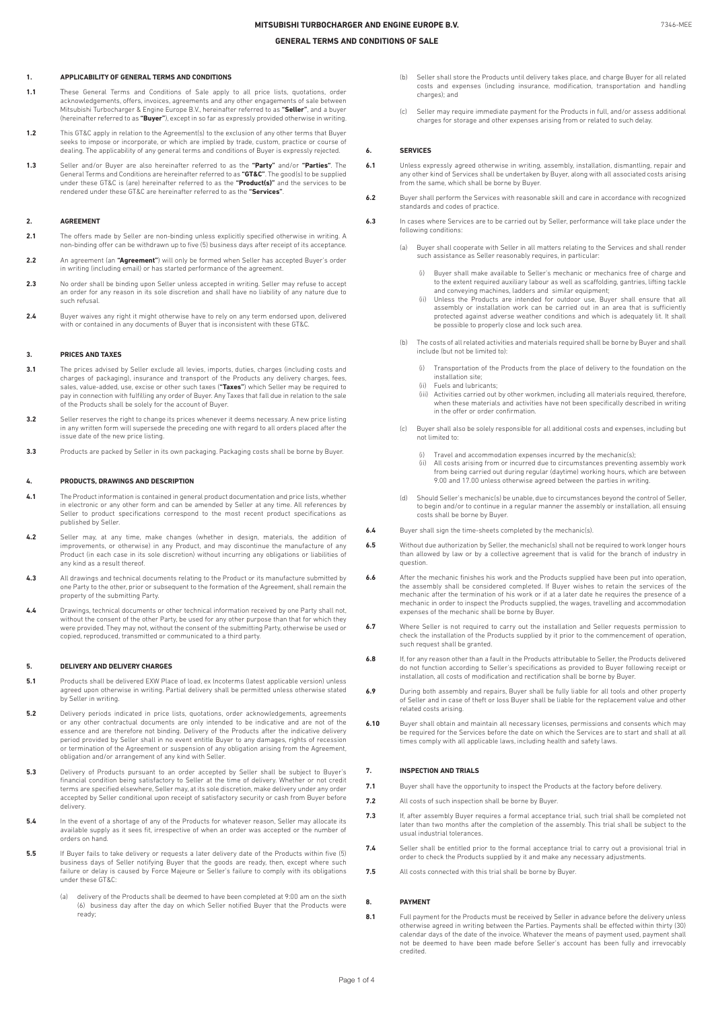## **1. APPLICABILITY OF GENERAL TERMS AND CONDITIONS**

- **1.1** These General Terms and Conditions of Sale apply to all price lists, quotations, order and any other acknowledgements, offers, invoices, agreements and any other engagements of sale between Mitsubishi Turbocharger & Engine Europe B.V., hereinafter referred to as **"Seller"**, and a buyer (hereinafter referred to as **"Buyer"**), except in so far as expressly provided otherwise in writing.
- **1.2** This GT&C apply in relation to the Agreement(s) to the exclusion of any other terms that Buyer seeks to impose or incorporate, or which are implied by trade, custom, practice or course of dealing. The applicability of any general terms and conditions of Buyer is expressly rejected.
- 1.3 Seller and/or Buyer are also hereinafter referred to as the **"Party"** and/or **"Parties".** The<br>General Terms and Conditions are hereinafter referred to as **"GT&C". T**he good(s) to be supplied<br>under these GT&C is (are) h rendered under these GT&C are hereinafter referred to as the **"Services"**.

### **2. AGREEMENT**

- **2.1** The offers made by Seller are non-binding unless explicitly specified otherwise in writing. A non-binding offer can be withdrawn up to five (5) business days after receipt of its acceptance.
- **2.2** An agreement (an **"Agreement"**) will only be formed when Seller has accepted Buyer's order in writing (including email) or has started performance of the agreement
- 2.3 No order shall be binding upon Seller unless accepted in writing. Seller may refuse to accept an order for any reason in its sole discretion and shall have no liability of any nature due to such refusal.
- **2.4** Buyer waives any right it might otherwise have to rely on any term endorsed upon, delivered with or contained in any documents of Buyer that is inconsistent with these GT&C.

#### **3. PRICES AND TAXES**

- **3.1** The prices advised by Seller exclude all levies, imports, duties, charges (including costs and charges of packaging), insurance and transport of the Products any delivery charges, fees, sales, value-added, use, excise or other such taxes (**"Taxes"**) which Seller may be required to pay in connection with fulfilling any order of Buyer. Any Taxes that fall due in relation to the sale of the Products shall be solely for the account of Buyer.
- **3.2** Seller reserves the right to change its prices whenever it deems necessary. A new price listing in any written form will supersede the preceding one with regard to all orders placed after the issue date of the new price listing.
- **3.3** Products are packed by Seller in its own packaging. Packaging costs shall be borne by Buyer.

#### **4. PRODUCTS, DRAWINGS AND DESCRIPTION**

- **4.1** The Product information is contained in general product documentation and price lists, whether in electronic or any other form and can be amended by Seller at any time. All references by Seller to product specifications correspond to the most recent product specifications as published by Seller.
- **4.2** Seller may, at any time, make changes (whether in design, materials, the addition of investion of any  $P$  product, and may discontinue the manufacture of any Product (in each case in its sole discretion) without incurring any obligations or liabilities of any kind as a result thereof.
- **4.3** All drawings and technical documents relating to the Product or its manufacture submitted by one Party to the other, prior or subsequent to the formation of the Agreement, shall remain the property of the submitting Party.
- **4.4** Drawings, technical documents or other technical information received by one Party shall not, without the consent of the other Party, be used for any other purpose than that for which they were provided. They may not, without the consent of the submitting Party, otherwise be used or copied, reproduced, transmitted or communicated to a third party.

#### **5. DELIVERY AND DELIVERY CHARGES**

- **5.1** Products shall be delivered EXW Place of load, ex Incoterms (latest applicable version) unless agreed upon otherwise in writing. Partial delivery shall be permitted unless otherwise stated by Seller in writing.
- **5.2** Delivery periods indicated in price lists, quotations, order acknowledgements, agreements or any other contractual documents are only intended to be indicative and are not of the essence and are therefore not binding. Delivery of the Products after the indicative delivery period provided by Seller shall in no event entitle Buyer to any damages, rights of recession or termination of the Agreement or suspension of any obligation arising from the Agreement, obligation and/or arrangement of any kind with Seller.
- **5.3** Delivery of Products pursuant to an order accepted by Seller shall be subject to Buyer's financial condition being satisfactory to Seller at the time of delivery. Whether or not credit terms are specified elsewhere, Seller may, at its sole discretion, make delivery under any order accepted by Seller conditional upon receipt of satisfactory security or cash from Buyer before delivery.
- **5.4** In the event of a shortage of any of the Products for whatever reason, Seller may allocate its available supply as it sees fit, irrespective of when an order was accepted or the number of orders on hand.
- **5.5** If Buyer fails to take delivery or requests a later delivery date of the Products within five (5) business days of Seller notifying Buyer that the goods are ready, then, except where such failure or delay is caused by Force Majeure or Seller's failure to comply with its obligations under these GT&C:
	- (a) delivery of the Products shall be deemed to have been completed at 9:00 am on the sixth (6) business day after the day on which Seller notified Buyer that the Products were ready;
- Seller shall store the Products until delivery takes place, and charge Buyer for all related costs and expenses (including insurance, modification, transportation and handling charges); and
- (c) Seller may require immediate payment for the Products in full, and/or assess additional charges for storage and other expenses arising from or related to such delay.

#### **6. SERVICES**

- **6.1** Unless expressly agreed otherwise in writing, assembly, installation, dismantling, repair and any other kind of Services shall be undertaken by Buyer, along with all associated costs arising from the same, which shall be borne by Buyer.
- **6.2** Buyer shall perform the Services with reasonable skill and care in accordance with recognized standards and codes of practice.
- **6.3** In cases where Services are to be carried out by Seller, performance will take place under the following conditions:
	- (a) Buyer shall cooperate with Seller in all matters relating to the Services and shall render such assistance as Seller reasonably requires, in particular:
		- (i) Buyer shall make available to Seller's mechanic or mechanics free of charge and to the extent required auxiliary labour as well as scaffolding, gantries, lifting tackle and conveying machines, ladders and similar equipment;
		- (ii) Unless the Products are intended for outdoor use, Buyer shall ensure that all assembly or installation work can be carried out in an area that is sufficiently protected against adverse weather conditions and which is adequately lit. It shall be possible to properly close and lock such area.
	- (b) The costs of all related activities and materials required shall be borne by Buyer and shall include (but not be limited to):
		- (i) Transportation of the Products from the place of delivery to the foundation on the installation site;
		- (ii) Fuels and lubricants;<br>(iii) Activities carried out
		- Activities carried out by other workmen, including all materials required, therefore, when these materials and activities have not been specifically described in writing in the offer or order confirmation.
	- (c) Buyer shall also be solely responsible for all additional costs and expenses, including but not limited to:
		- Travel and accommodation expenses incurred by the mechanic(s);
		- (ii) All costs arising from or incurred due to circumstances preventing assembly work from being carried out during regular (daytime) working hours, which are between 9.00 and 17.00 unless otherwise agreed between the parties in writing.
	- (d) Should Seller's mechanic(s) be unable, due to circumstances beyond the control of Seller, to begin and/or to continue in a regular manner the assembly or installation, all ensuing costs shall be borne by Buyer.
- **6.4** Buyer shall sign the time-sheets completed by the mechanic(s).
- **6.5** Without due authorization by Seller, the mechanic(s) shall not be required to work longer hours than allowed by law or by a collective agreement that is valid for the branch of industry in question.
- **6.6** After the mechanic finishes his work and the Products supplied have been put into operation, the assembly shall be considered completed. If Buyer wishes to retain the services of the mechanic after the termination of his work or if at a later date he requires the presence of a mechanic in order to inspect the Products supplied, the wages, travelling and accommodation expenses of the mechanic shall be borne by Buyer.
- **6.7** Where Seller is not required to carry out the installation and Seller requests permission to check the installation of the Products supplied by it prior to the commencement of operation, such request shall be granted.
- **6.8** If, for any reason other than a fault in the Products attributable to Seller, the Products delivered do not function according to Seller's specifications as provided to Buyer following receipt or installation, all costs of modification and rectification shall be borne by Buyer.
- **6.9** During both assembly and repairs, Buyer shall be fully liable for all tools and other property of Seller and in case of theft or loss Buyer shall be liable for the replacement value and other related costs arising.
- **6.10** Buyer shall obtain and maintain all necessary licenses, permissions and consents which may be required for the Services before the date on which the Services are to start and shall at all times comply with all applicable laws, including health and safety laws.

## **7. INSPECTION AND TRIALS**

- **7.1** Buyer shall have the opportunity to inspect the Products at the factory before delivery.
- **7.2** All costs of such inspection shall be borne by Buyer.
- **7.3** If, after assembly Buyer requires a formal acceptance trial, such trial shall be completed not later than two months after the completion of the assembly. This trial shall be subject to the usual industrial tolerances.
- **7.4** Seller shall be entitled prior to the formal acceptance trial to carry out a provisional trial in order to check the Products supplied by it and make any necessary adjustments.
- **7.5** All costs connected with this trial shall be borne by Buyer.

## **8. PAYMENT**

**8.1** Full payment for the Products must be received by Seller in advance before the delivery unless otherwise agreed in writing between the Parties. Payments shall be effected within thirty (30) calendar days of the date of the invoice. Whatever the means of payment used, payment shall not be deemed to have been made before Seller's account has been fully and irrevocably credited.

Page 1 of 4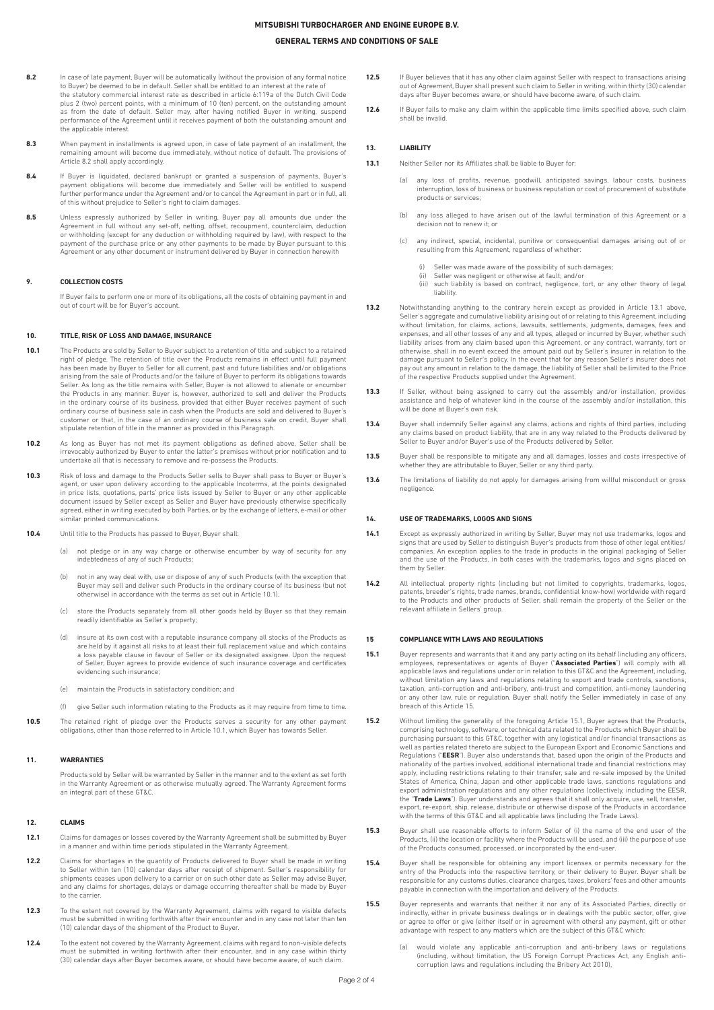# **GENERAL TERMS AND CONDITIONS OF SALE**

- 8.2 In case of late payment, Buyer will be automatically (without the provision of any formal notice to Buyer) be deemed to be in default. Seller shall be entitled to an interest at the rate of the statutory commercial interest rate as described in article 6:119a of the Dutch Civil Code plus 2 (two) percent points, with a minimum of 10 (ten) percent, on the outstanding amount<br>as from the date of default. Seller may, after having notified Buyer in writing, suspend performance of the Agreement until it receives payment of both the outstanding amount and the annlicable interest.
- **8.3** When payment in installments is agreed upon, in case of late payment of an installment, the remaining amount will become due immediately, without notice of default. The provisions of Article 8.2 shall apply accordingly.
- 8.4 If Buyer is liquidated, declared bankrupt or granted a suspension of payments, Buyer's payment obligations will become due immediately and Seller will be entitled to suspend further performance under the Agreement and/or to cancel the Agreement in part or in full, all of this without prejudice to Seller's right to claim damages.
- **8.5** Unless expressly authorized by Seller in writing, Buyer pay all amounts due under the Agreement in full without any set-off, netting, offset, recoupment, counterclaim, deduction or withholding (except for any deduction or withholding required by law), with respect to the payment of the purchase price or any other payments to be made by Buyer pursuant to this Agreement or any other document or instrument delivered by Buyer in connection herewith

## **9. COLLECTION COSTS**

If Buyer fails to perform one or more of its obligations, all the costs of obtaining payment in and out of court will be for Buyer's account.

## **10. TITLE, RISK OF LOSS AND DAMAGE, INSURANCE**

- **10.1** The Products are sold by Seller to Buyer subject to a retention of title and subject to a retained right of pledge. The retention of title over the Products remains in effect until full payment has been made by Buyer to Seller for all current, past and future liabilities and/or obligations arising from the sale of Products and/or the failure of Buyer to perform its obligations towards Seller. As long as the title remains with Seller, Buyer is not allowed to alienate or encumber the Products in any manner. Buyer is, however, authorized to sell and deliver the Products in the ordinary course of its business, provided that either Buyer receives payment of such ordinary course of business sale in cash when the Products are sold and delivered to Buyer's customer or that, in the case of an ordinary course of business sale on credit, Buyer shall stipulate retention of title in the manner as provided in this Paragraph.
- **10.2** As long as Buyer has not met its payment obligations as defined above, Seller shall be incursived and to i<br>irrevocably authorized by Buyer to enter the latter's premises without prior notification and to undertake all that is necessary to remove and re-possess the Products.
- 10.3 Risk of loss and damage to the Products Seller sells to Buyer shall pass to Buyer or Buyer's agent, or user upon delivery according to the applicable Incoterms, at the points designated<br>in price lists, quotations, parts' price lists issued by Seller to Buyer or any other applicable<br>document issued by Seller except agreed, either in writing executed by both Parties, or by the exchange of letters, e-mail or other similar printed communications.
- 10.4 Until title to the Products has passed to Buyer, Buyer, shall:
	- (a) not pledge or in any way charge or otherwise encumber by way of security for any indebtedness of any of such Products;
	- (b) not in any way deal with, use or dispose of any of such Products (with the exception that Buyer may sell and deliver such Products in the ordinary course of its business (but not otherwise) in accordance with the terms as set out in Article 10.1).
	- (c) store the Products separately from all other goods held by Buyer so that they remain readily identifiable as Seller's property;
	- (d) insure at its own cost with a reputable insurance company all stocks of the Products as are held by it against all risks to at least their full replacement value and which contains a loss payable clause in favour of Seller or its designated assignee. Upon the request of Seller, Buyer agrees to provide evidence of such insurance coverage and certificates evidencing such insurance;
	- (e) maintain the Products in satisfactory condition; and
	- (f) give Seller such information relating to the Products as it may require from time to time.
- **10.5** The retained right of pledge over the Products serves a security for any other payment obligations, other than those referred to in Article 10.1, which Buyer has towards Seller.

#### **11. WARRANTIES**

Products sold by Seller will be warranted by Seller in the manner and to the extent as set forth in the Warranty Agreement or as otherwise mutually agreed. The Warranty Agreement forms an integral part of these GT&C.

## **12. CLAIMS**

- **12.1** Claims for damages or losses covered by the Warranty Agreement shall be submitted by Buyer in a manner and within time periods stipulated in the Warranty Agreement.
- 12.2 Claims for shortages in the quantity of Products delivered to Buyer shall be made in writing to Seller within ten (10) calendar days after receipt of shipment. Seller's responsibility for shipments ceases upon delivery to a carrier or on such other date as Seller may advise Buyer, and any claims for shortages, delays or damage occurring thereafter shall be made by Buyer to the carrier.
- **12.3** To the extent not covered by the Warranty Agreement, claims with regard to visible defects must be submitted in writing forthwith after their encounter and in any case not later than ten (10) calendar days of the shipment of the Product to Buyer.
- **12.4** To the extent not covered by the Warranty Agreement, claims with regard to non-visible defects must be submitted in writing forthwith after their encounter, and in any case within thirty (30) calendar days after Buyer becomes aware, or should have become aware, of such claim.
- 12.5 If Buyer believes that it has any other claim against Seller with respect to transactions arising out of Agreement, Buyer shall present such claim to Seller in writing, within thirty (30) calendar days after Buyer becomes aware, or should have become aware, of such claim.
- 12.6 If Buyer fails to make any claim within the applicable time limits specified above, such claim shall be invalid.

## **13. LIABILITY**

- **13.1** Neither Seller nor its Affiliates shall be liable to Buyer for:
	- (a) any loss of profits, revenue, goodwill, anticipated savings, labour costs, business interruption, loss of business or business reputation or cost of procurement of substitute products or services;
	- (b) any loss alleged to have arisen out of the lawful termination of this Agreement or a decision not to renew it; or
	- (c) any indirect, special, incidental, punitive or consequential damages arising out of or resulting from this Agreement, regardless of whether:
		- (i) Seller was made aware of the possibility of such damages;<br>(ii) Seller was perilipent or otherwise at fault: and/or
		- Seller was negligent or otherwise at fault; and/or
		- (iii) such liability is based on contract, negligence, tort, or any other theory of legal liability.
- 13.2 Notwithstanding anything to the contrary herein except as provided in Article 13.1 above, Seller's aggregate and cumulative liability arising out of or relating to this Agreement, including without limitation, for claims, actions, lawsuits, settlements, judgments, damages, fees and expenses, and all other losses of any and all types, alleged or incurred by Buyer, whether such liability arises from any claim based upon this Agreement, or any contract, warranty, tort or otherwise, shall in no event exceed the amount paid out by Seller's insurer in relation to the damage pursuant to Seller's policy. In the event that for any reason Seller's insurer does not pay out any amount in relation to the damage, the liability of Seller shall be limited to the Price of the respective Products supplied under the Agreement.
- **13.3** If Seller, without being assigned to carry out the assembly and/or installation, provides assistance and help of whatever kind in the course of the assembly and/or installation, this will be done at Buyer's own risk.
- 13.4 Buyer shall indemnify Seller against any claims, actions and rights of third parties, including any claims based on product liability, that are in any way related to the Products delivered by Seller to Buyer and/or Buyer's use of the Products delivered by Seller.
- **13.5** Buyer shall be responsible to mitigate any and all damages, losses and costs irrespective of whether they are attributable to Buyer, Seller or any third party.
- 13.6 The limitations of liability do not apply for damages arising from willful misconduct or gross negligence.

## **14. USE OF TRADEMARKS, LOGOS AND SIGNS**

- **14.1** Except as expressly authorized in writing by Seller, Buyer may not use trademarks, logos and signs that are used by Seller to distinguish Buyer's products from those of other legal entities/ companies. An exception applies to the trade in products in the original packaging of Seller and the use of the Products, in both cases with the trademarks, logos and signs placed on them by Seller.
- **14.2** All intellectual property rights (including but not limited to copyrights, trademarks, logos, patents, breeder's rights, trade names, brands, confidential know-how) worldwide with regard to the Products and other products of Seller, shall remain the property of the Seller or the relevant affiliate in Sellers' group.

#### **15 COMPLIANCE WITH LAWS AND REGULATIONS**

- **15.1** Buyer represents and warrants that it and any party acting on its behalf (including any officers, employees, representatives or agents of Buyer ("**Associated Parties**") will comply with all applicable laws and regulations under or in relation to this GT&C and the Agreement, including, without limitation any laws and regulations relating to export and trade controls, sanctions, taxation, anti-corruption and anti-bribery, anti-trust and competition, anti-money laundering or any other law, rule or regulation. Buyer shall notify the Seller immediately in case of any breach of this Article 15.
- **15.2** Without limiting the generality of the foregoing Article 15.1, Buyer agrees that the Products, comprising technology, software, or technical data related to the Products which Buyer shall be<br>purchasing pursuant to this GT&C, together with any logistical and/or financial transactions as<br>well as parties related theret Regulations ("**EESR**"). Buyer also understands that, based upon the origin of the Products and nationality of the parties involved, additional international trade and financial restrictions may apply, including restrictions relating to their transfer, sale and re-sale imposed by the United States of America, China, Japan and other applicable trade laws, sanctions regulations and export administration regulations and any other regulations (collectively, including the EESR, the "**Trade Laws**"). Buyer understands and agrees that it shall only acquire, use, sell, transfer, export, re-export, ship, release, distribute or otherwise dispose of the Products in accordance with the terms of this GT&C and all applicable laws (including the Trade Laws).
- **15.3** Buyer shall use reasonable efforts to inform Seller of (i) the name of the end user of the Products, (ii) the location or facility where the Products will be used, and (iii) the purpose of use of the Products consumed, processed, or incorporated by the end-user.
- **15.4** Buyer shall be responsible for obtaining any import licenses or permits necessary for the Products into the respective territory, or their delivery to Buyer. Buyer shall be responsible for any customs duties, clearance charges, taxes, brokers' fees and other amounts payable in connection with the importation and delivery of the Products.
- **15.5** Buyer represents and warrants that neither it nor any of its Associated Parties, directly or indirectly, either in private business dealings or in dealings with the public sector, offer, give or agree to offer or give (either itself or in agreement with others) any payment, gift or other advantage with respect to any matters which are the subject of this GT&C which:
	- (a) would violate any applicable anti-corruption and anti-bribery laws or regulations (including, without limitation, the US Foreign Corrupt Practices Act, any English anti-corruption laws and regulations including the Bribery Act 2010),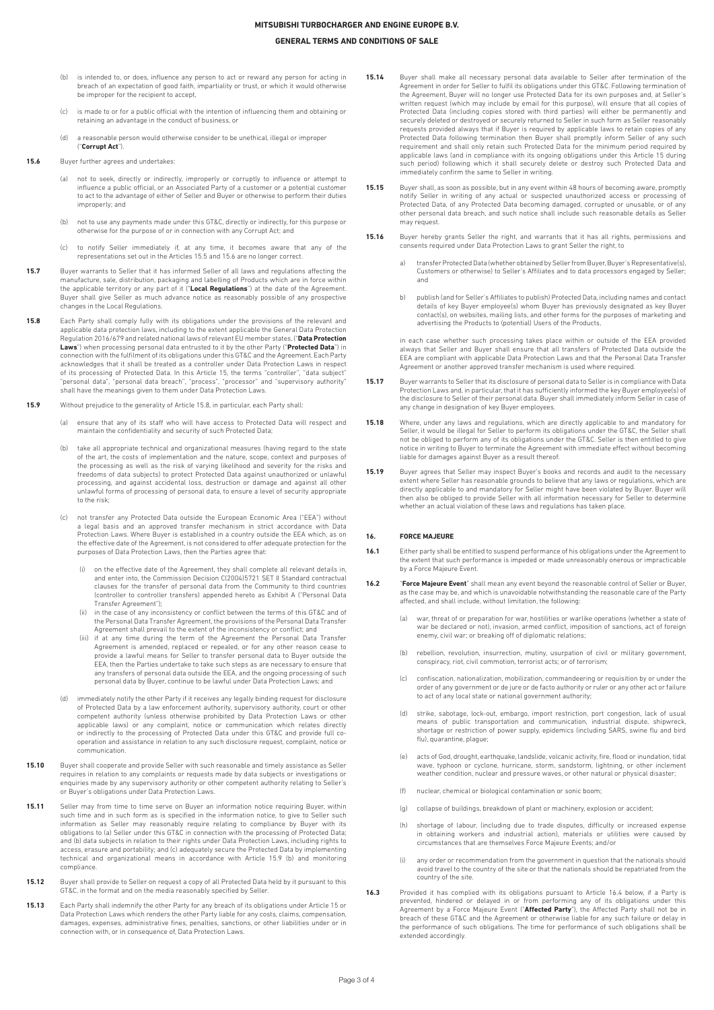# **GENERAL TERMS AND CONDITIONS OF SALE**

- is intended to, or does, influence any person to act or reward any person for acting in breach of an expectation of good faith, impartiality or trust, or which it would otherwise be improper for the recipient to accept,
- (c) is made to or for a public official with the intention of influencing them and obtaining or retaining an advantage in the conduct of business, or
- (d) a reasonable person would otherwise consider to be unethical, illegal or improper ("**Corrupt Act**").
- **15.6** Buyer further agrees and undertakes:
	- (a) not to seek, directly or indirectly, improperly or corruptly to influence or attempt to influence a public official, or an Associated Party of a customer or a potential customer to act to the advantage of either of Seller and Buyer or otherwise to perform their duties improperly; and
	- (b) not to use any payments made under this GT&C, directly or indirectly, for this purpose or otherwise for the purpose of or in connection with any Corrupt Act; and
	- (c) to notify Seller immediately if, at any time, it becomes aware that any of the representations set out in the Articles 15.5 and 15.6 are no longer correct.
- **15.7** Buyer warrants to Seller that it has informed Seller of all laws and regulations affecting the manufacture, sale, distribution, packaging and labelling of Products which are in force within the applicable territory or any part of it ("**Local Regulations**") at the date of the Agreement. Buyer shall give Seller as much advance notice as reasonably possible of any prospective changes in the Local Regulations.
- **15.8** Each Party shall comply fully with its obligations under the provisions of the relevant and applicable data protection laws, including to the extent applicable the General Data Protection Regulation 2016/679 and related national laws of relevant EU member states, ("**Data Protection Laws**") when processing personal data entrusted to it by the other Party ("**Protected Data**") in connection with the fulfilment of its obligations under this GT&C and the Agreement. Each Party acknowledges that it shall be treated as a controller under Data Protection Laws in respect of its processing of Protected Data. In this Article 15, the terms "controller", "data subject" "personal data", "personal data breach", "process", "processor" and "supervisory authority" shall have the meanings given to them under Data Protection Laws.
- **15.9** Without prejudice to the generality of Article 15.8, in particular, each Party shall:
	- (a) ensure that any of its staff who will have access to Protected Data will respect and maintain the confidentiality and security of such Protected Data;
	- (b) take all appropriate technical and organizational measures (having regard to the state of the art, the costs of implementation and the nature, scope, context and purposes of the processing as well as the risk of varying likelihood and severity for the risks and freedoms of data subjects) to protect Protected Data against unauthorized or unlawful processing, and against accidental loss, destruction or damage and against all other unlawful forms of processing of personal data, to ensure a level of security appropriate to the risk;
	- (c) not transfer any Protected Data outside the European Economic Area ("EEA") without a legal basis and an approved transfer mechanism in strict accordance with Data Protection Laws. Where Buyer is established in a country outside the EEA which, as on the effective date of the Agreement, is not considered to offer adequate protection for the purposes of Data Protection Laws, then the Parties agree that:
		- (i) on the effective date of the Agreement, they shall complete all relevant details in, and enter into, the Commission Decision C(2004)5721 SET II Standard contractual clauses for the transfer of personal data from the Community to third countries (controller to controller transfers) appended hereto as Exhibit A ("Personal Data Transfer Agreement");
		- in the case of any inconsistency or conflict between the terms of this GT&C and of the Personal Data Transfer Agreement, the provisions of the Personal Data Transfer Agreement shall prevail to the extent of the inconsistency or conflict; and
		- (iii) if at any time during the term of the Agreement the Personal Data Transfer Agreement is amended, replaced or repealed, or for any other reason cease to provide a lawful means for Seller to transfer personal data to Buyer outside the EEA, then the Parties undertake to take such steps as are necessary to ensure that any transfers of personal data outside the EEA, and the ongoing processing of such personal data by Buyer, continue to be lawful under Data Protection Laws; and
	- (d) immediately notify the other Party if it receives any legally binding request for disclosure of Protected Data by a law enforcement authority, supervisory authority, court or other competent authority (unless otherwise prohibited by Data Protection Laws or other applicable laws) or any complaint, notice or communication which relates directly indirectly to the processing of Protected Data under this GT&C and provide full cooperation and assistance in relation to any such disclosure request, complaint, notice or communication.
- **15.10** Buyer shall cooperate and provide Seller with such reasonable and timely assistance as Seller requires in relation to any complaints or requests made by data subjects or investigations or enquiries made by any supervisory authority or other competent authority relating to Seller's or Buyer's obligations under Data Protection Laws.
- **15.11** Seller may from time to time serve on Buyer an information notice requiring Buyer, within such time and in such form as is specified in the information notice, to give to Seller such information as Seller may reasonably require relating to compliance by Buyer with its obligations to (a) Seller under this GT&C in connection with the processing of Protected Data; and (b) data subjects in relation to their rights under Data Protection Laws, including rights to access, erasure and portability; and (c) adequately secure the Protected Data by implementing technical and organizational means in accordance with Article 15.9 (b) and monitoring compliance.
- 15.12 Buyer shall provide to Seller on request a copy of all Protected Data held by it pursuant to this GT&C, in the format and on the media reasonably specified by Seller.
- **15.13** Each Party shall indemnify the other Party for any breach of its obligations under Article 15 or Data Protection Laws which renders the other Party liable for any costs, claims, compensation, damages, expenses, administrative fines, penalties, sanctions, or other liabilities under or in connection with, or in consequence of, Data Protection Laws.
- **15.14** Buyer shall make all necessary personal data available to Seller after termination of the<br>Agreement in order for Seller to fulfil its obligations under this GT&C. Following termination of<br>the Agreement, Buyer will written request (which may include by email for this purpose), will ensure that all copies of Protected Data (including copies stored with third parties) will either be permanently and securely deleted or destroyed or securely returned to Seller in such form as Seller reasonably requests provided always that if Buyer is required by applicable laws to retain copies of any Protected Data following termination then Buyer shall promptly inform Seller of any such requirement and shall only retain such Protected Data for the minimum period required by applicable laws (and in compliance with its ongoing obligations under this Article 15 during such period) following which it shall securely delete or destroy such Protected Data and immediately confirm the same to Seller in writing.
- **15.15** Buyer shall, as soon as possible, but in any event within 48 hours of becoming aware, promptly notify Seller in writing of any actual or suspected unauthorized access or processing of Protected Data, of any Protected Data becoming damaged, corrupted or unusable, or of any other personal data breach, and such notice shall include such reasonable details as Seller may request.
- **15.16** Buyer hereby grants Seller the right, and warrants that it has all rights, permissions and consents required under Data Protection Laws to grant Seller the right, to
	- a) transfer Protected Data (whether obtained by Seller from Buyer, Buyer's Representative(s), Customers or otherwise) to Seller's Affiliates and to data processors engaged by Seller; and
	- b) publish (and for Seller's Affiliates to publish) Protected Data, including names and contact details of key Buyer employee(s) whom Buyer has previously designated as key Buyer contact(s), on websites, mailing lists, and other forms for the purposes of marketing and advertising the Products to (potential) Users of the Products,

in each case whether such processing takes place within or outside of the EEA provided always that Seller and Buyer shall ensure that all transfers of Protected Data outside the EEA are compliant with applicable Data Protection Laws and that the Personal Data Transfer Agreement or another approved transfer mechanism is used where required.

- **15.17** Buyer warrants to Seller that its disclosure of personal data to Seller is in compliance with Data Protection Laws and, in particular, that it has sufficiently informed the key Buyer employee(s) of the disclosure to Seller of their personal data. Buyer shall immediately inform Seller in case of any change in designation of key Buyer employees.
- **15.18** Where, under any laws and regulations, which are directly applicable to and mandatory for Seller, it would be illegal for Seller to perform its obligations under the GT&C, the Seller shall not be obliged to perform any of its obligations under the GT&C. Seller is then entitled to give notice in writing to Buyer to terminate the Agreement with immediate effect without becoming liable for damages against Buyer as a result thereof.
- **15.19** Buyer agrees that Seller may inspect Buyer's books and records and audit to the necessary extent where Seller has reasonable grounds to believe that any laws or regulations, which are directly applicable to and mandatory for Seller might have been violated by Buyer. Buyer will then also be obliged to provide Seller with all information necessary for Seller to determine whether an actual violation of these laws and regulations has taken place.

# **16. FORCE MAJEURE**

- **16.1** Either party shall be entitled to suspend performance of his obligations under the Agreement to the extent that such performance is impeded or made unreasonably onerous or impracticable by a Force Majeure Event.
- **16.2** "**Force Majeure Event**" shall mean any event beyond the reasonable control of Seller or Buyer, as the case may be, and which is unavoidable notwithstanding the reasonable care of the Party affected, and shall include, without limitation, the following:
	- (a) war, threat of or preparation for war, hostilities or warlike operations (whether a state of war be declared or not), invasion, armed conflict, imposition of sanctions, act of foreign enemy, civil war; or breaking off of diplomatic relations;
	- (b) rebellion, revolution, insurrection, mutiny, usurpation of civil or military government, conspiracy, riot, civil commotion, terrorist acts; or of terrorism;
	- (c) confiscation, nationalization, mobilization, commandeering or requisition by or under the order of any government or de jure or de facto authority or ruler or any other act or failure to act of any local state or national government authority;
	- (d) strike, sabotage, lock-out, embargo, import restriction, port congestion, lack of usual means of public transportation and communication, industrial dispute, shipwreck, shortage or restriction of power supply, epidemics (including SARS, swine flu and bird flu), quarantine, plague;
	- (e) acts of God, drought, earthquake, landslide, volcanic activity, fire, flood or inundation, tidal wave, typhoon or cyclone, hurricane, storm, sandstorm, lightning, or other inclement weather condition, nuclear and pressure waves, or other natural or physical disaster;
	- (f) nuclear, chemical or biological contamination or sonic boom;
	- (g) collapse of buildings, breakdown of plant or machinery, explosion or accident;
	- (h) shortage of labour, (including due to trade disputes, difficulty or increased expense in obtaining workers and industrial action), materials or utilities were caused by circumstances that are themselves Force Majeure Events; and/or
	- (i) any order or recommendation from the government in question that the nationals should avoid travel to the country of the site or that the nationals should be repatriated from the country of the site.
- 16.3 Provided it has complied with its obligations pursuant to Article 16.4 below, if a Party is prevented, hindered or delayed in or from performing any of its obligations under this Agreement by a Force Majeure Event ("**Affected Party**"), the Affected Party shall not be in breach of these GT&C and the Agreement or otherwise liable for any such failure or delay in the performance of such obligations. The time for performance of such obligations shall be extended accordingly.